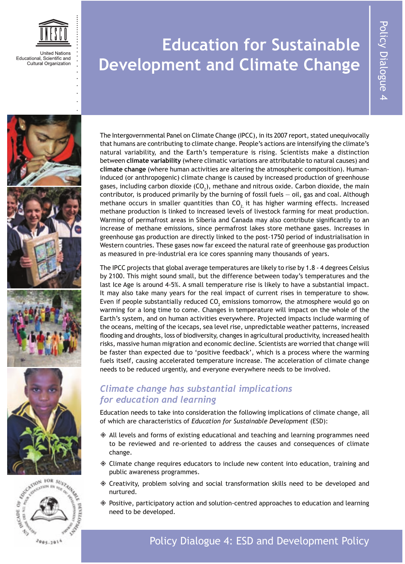

# **Education for Sustainable Development and Climate Change**





The Intergovernmental Panel on Climate Change (IPCC), in its 2007 report, stated unequivocally that humans are contributing to climate change. People's actions are intensifying the climate's natural variability, and the Earth's temperature is rising. Scientists make a distinction between **climate variability** (where climatic variations are attributable to natural causes) and **climate change** (where human activities are altering the atmospheric composition). Humaninduced (or anthropogenic) climate change is caused by increased production of greenhouse gases, including carbon dioxide (CO<sub>2</sub>), methane and nitrous oxide. Carbon dioxide, the main contributor, is produced primarily by the burning of fossil fuels — oil, gas and coal. Although methane occurs in smaller quantities than CO<sub>2</sub> it has higher warming effects. Increased methane production is linked to increased levels of livestock farming for meat production. Warming of permafrost areas in Siberia and Canada may also contribute significantly to an increase of methane emissions, since permafrost lakes store methane gases. Increases in greenhouse gas production are directly linked to the post-1750 period of industrialisation in Western countries. These gases now far exceed the natural rate of greenhouse gas production as measured in pre-industrial era ice cores spanning many thousands of years.

The IPCC projects that global average temperatures are likely to rise by 1.8 - 4 degrees Celsius by 2100. This might sound small, but the difference between today's temperatures and the last Ice Age is around 4-5%. A small temperature rise is likely to have a substantial impact. It may also take many years for the real impact of current rises in temperature to show. Even if people substantially reduced CO<sub>2</sub> emissions tomorrow, the atmosphere would go on warming for a long time to come. Changes in temperature will impact on the whole of the Earth's system, and on human activities everywhere. Projected impacts include warming of the oceans, melting of the icecaps, sea level rise, unpredictable weather patterns, increased flooding and droughts, loss of biodiversity, changes in agricultural productivity, increased health risks, massive human migration and economic decline. Scientists are worried that change will be faster than expected due to 'positive feedback', which is a process where the warming fuels itself, causing accelerated temperature increase. The acceleration of climate change needs to be reduced urgently, and everyone everywhere needs to be involved.

#### *Climate change has substantial implications for education and learning*

Education needs to take into consideration the following implications of climate change, all of which are characteristics of *Education for Sustainable Development* (ESD):

- $\Diamond$  All levels and forms of existing educational and teaching and learning programmes need to be reviewed and re-oriented to address the causes and consequences of climate change.
- $\Diamond$  Climate change requires educators to include new content into education, training and public awareness programmes.
- $\Diamond$  Creativity, problem solving and social transformation skills need to be developed and nurtured.
- Positive, participatory action and solution-centred approaches to education and learning need to be developed.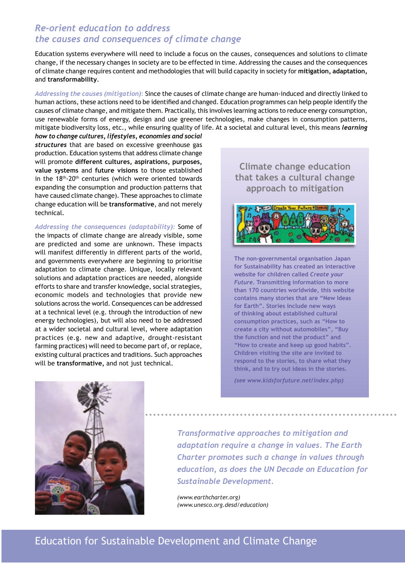#### *Re-orient education to address the causes and consequences of climate change*

Education systems everywhere will need to include a focus on the causes, consequences and solutions to climate change, if the necessary changes in society are to be effected in time. Addressing the causes and the consequences of climate change requires content and methodologies that will build capacity in society for **mitigation, adaptation,**  and **transformability**.

*Addressing the causes (mitigation)*: Since the causes of climate change are human-induced and directly linked to human actions, these actions need to be identified and changed. Education programmes can help people identify the causes of climate change, and mitigate them. Practically, this involves learning actions to reduce energy consumption, use renewable forms of energy, design and use greener technologies, make changes in consumption patterns, mitigate biodiversity loss, etc., while ensuring quality of life. At a societal and cultural level, this means *learning*

*how to change cultures, lifestyles, economies and social structures* that are based on excessive greenhouse gas production. Education systems that address climate change will promote **different cultures, aspirations, purposes, value systems** and **future visions** to those established in the  $18<sup>th</sup>$ -20<sup>th</sup> centuries (which were oriented towards expanding the consumption and production patterns that have caused climate change). These approaches to climate change education will be **transformative**, and not merely technical.

*Addressing the consequences (adaptability):* Some of the impacts of climate change are already visible, some are predicted and some are unknown. These impacts will manifest differently in different parts of the world, and governments everywhere are beginning to prioritise adaptation to climate change. Unique, locally relevant solutions and adaptation practices are needed, alongside efforts to share and transfer knowledge, social strategies, economic models and technologies that provide new solutions across the world. Consequences can be addressed at a technical level (e.g. through the introduction of new energy technologies), but will also need to be addressed at a wider societal and cultural level, where adaptation practices (e.g. new and adaptive, drought-resistant farming practices) will need to become part of, or replace, existing cultural practices and traditions. Such approaches will be **transformative,** and not just technical.

**Climate change education that takes a cultural change approach to mitigation** 



**The non-governmental organisation Japan for Sustainability has created an interactive website for children called** *Create your Future***. Transmitting information to more than 170 countries worldwide, this website contains many stories that are "New Ideas for Earth". Stories include new ways of thinking about established cultural consumption practices, such as "How to create a city without automobiles", "Buy the function and not the product" and "How to create and keep up good habits". Children visiting the site are invited to respond to the stories, to share what they think, and to try out ideas in the stories.** 

*(see [www.kidsforfuture.net/index.php\)](http://www.kidsforfuture.net/index.php)* 



*Transformative approaches to mitigation and adaptation require a change in values. The Earth Charter promotes such a change in values through education, as does the UN Decade on Education for Sustainable Development.* 

*([www.earthcharter.org\)](http://www.earthcharter.org) ([www.unesco.org.desd/education\)](http://www.unesco.org.desd/education)*

#### Education for Sustainable Development and Climate Change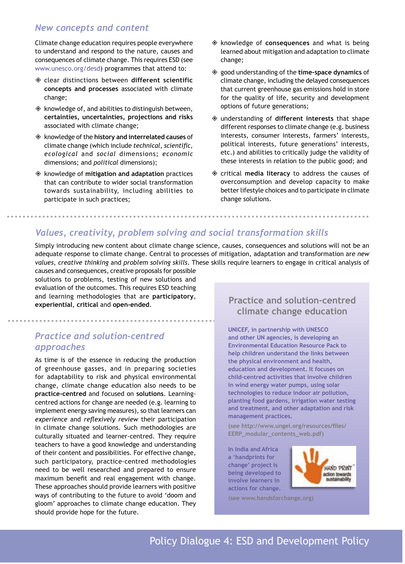#### *New concepts and content*

Climate change education requires people everywhere to understand and respond to the nature, causes and consequences of climate change. This requires ESD (see [www.unesco.org/desd\)](http://www.unesco.org/desd) programmes that attend to:

- clear distinctions between **different scientific concepts and processes** associated with climate change;
- $\Diamond$  knowledge of, and abilities to distinguish between, **certainties, uncertainties, projections and risks** associated with climate change;
- knowledge of the **history and interrelated causes** of climate change (which include *technical, scientific, ecological* and *social* dimensions; *economic*  dimensions; and *political* dimensions);
- $\textcircled{}$  knowledge of mitigation and adaptation practices that can contribute to wider social transformation towards sustainability, including abilities to participate in such practices;
- knowledge of **consequences** and what is being learned about mitigation and adaptation to climate change;
- good understanding of the **time-space dynamics** of climate change, including the delayed consequences that current greenhouse gas emissions hold in store for the quality of life, security and development options of future generations;
- understanding of **different interests** that shape different responses to climate change (e.g. business interests, consumer interests, farmers' interests, political interests, future generations' interests, etc.) and abilities to critically judge the validity of these interests in relation to the public good; and
- critical **media literacy** to address the causes of overconsumption and develop capacity to make better lifestyle choices and to participate in climate change solutions.

#### *Values, creativity, problem solving and social transformation skills*

Simply introducing new content about climate change science, causes, consequences and solutions will not be an adequate response to climate change. Central to processes of mitigation, adaptation and transformation are *new values*, *creative thinking* and *problem solving skills*. These skills require learners to engage in critical analysis of

causes and consequences, creative proposals for possible solutions to problems, testing of new solutions and evaluation of the outcomes. This requires ESD teaching and learning methodologies that are **participatory**, **experiential**, **critical** and **open-ended**.

#### *Practice and solution-centred approaches*

As time is of the essence in reducing the production of greenhouse gasses, and in preparing societies for adaptability to risk and physical environmental change, climate change education also needs to be **practice-centred** and focused on **solutions**. Learningcentred actions for change are needed (e.g. learning to implement energy saving measures), so that learners can *experience* and *reflexively review* their participation in climate change solutions. Such methodologies are culturally situated and learner-centred. They require teachers to have a good knowledge and understanding of their content and possibilities. For effective change, such participatory, practice-centred methodologies need to be well researched and prepared to ensure maximum benefit and real engagement with change. These approaches should provide learners with positive ways of contributing to the future to avoid 'doom and gloom' approaches to climate change education. They should provide hope for the future.

#### **Practice and solution-centred climate change education**

**UNICEF, in partnership with UNESCO and other UN agencies, is developing an Environmental Education Resource Pack to help children understand the links between the physical environment and health, education and development. It focuses on child-centred activities that involve children in wind energy water pumps, using solar technologies to reduce indoor air pollution, planting food gardens, irrigation water testing and treatment, and other adaptation and risk management practices.** 

**(see [http://www.ungei.org/resources/files/](http://www.ungei.org/resources/files/EERP_modular_contents_web.pdf) [EERP\\_modular\\_contents\\_web.pdf\)](http://www.ungei.org/resources/files/EERP_modular_contents_web.pdf)**

**In India and Africa a 'handprints for change' project is being developed to involve learners in actions for change.** 



**(see [www.handsforchange.org\)](http://www.handsforchange.org)**